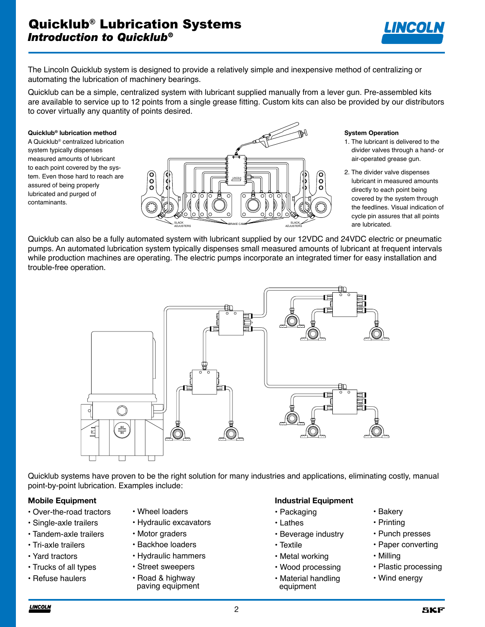

The Lincoln Quicklub system is designed to provide a relatively simple and inexpensive method of centralizing or automating the lubrication of machinery bearings.

Quicklub can be a simple, centralized system with lubricant supplied manually from a lever gun. Pre-assembled kits are available to service up to 12 points from a single grease fitting. Custom kits can also be provided by our distributors to cover virtually any quantity of points desired.

#### **Quicklub® lubrication method**

A Quicklub® centralized lubrication system typically dispenses measured amounts of lubricant to each point covered by the system. Even those hard to reach are assured of being properly lubricated and purged of contaminants.



#### **System Operation**

- 1. The lubricant is delivered to the divider valves through a hand- or air-operated grease gun.
- 2. The divider valve dispenses lubricant in measured amounts directly to each point being covered by the system through the feedlines. Visual indication of cycle pin assures that all points are lubricated.

Quicklub can also be a fully automated system with lubricant supplied by our 12VDC and 24VDC electric or pneumatic pumps. An automated lubrication system typically dispenses small measured amounts of lubricant at frequent intervals while production machines are operating. The electric pumps incorporate an integrated timer for easy installation and trouble-free operation.



Quicklub systems have proven to be the right solution for many industries and applications, eliminating costly, manual point-by-point lubrication. Examples include:

### **Mobile Equipment**

- Over-the-road tractors
- Single-axle trailers
- Tandem-axle trailers
- Tri-axle trailers
- Yard tractors
- Trucks of all types
- Refuse haulers
- Wheel loaders
- Hydraulic excavators
- Motor graders
- Backhoe loaders
- Hydraulic hammers
- Street sweepers
- Road & highway paving equipment

#### **Industrial Equipment**

- Packaging
- Lathes
- Beverage industry
- Textile
- Metal working
- Wood processing
- Material handling equipment
- Bakery
- Printing
- Punch presses
- Paper converting
- Milling
- Plastic processing
- Wind energy